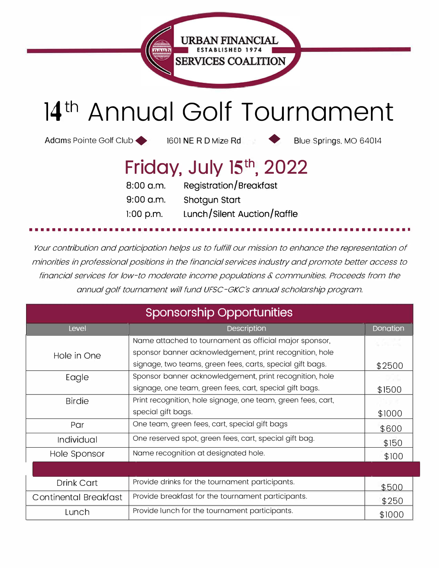

## **14 th Annual Golf Tournament**

Adams Pointe Golf Club 1601 NE R D Mize Rd Blue Springs. MO 64014

## **Friday, July 15 th , 2022**

| 8:00 a.m.   | <b>Registration/Breakfast</b> |
|-------------|-------------------------------|
| $9:00$ a.m. | Shotgun Start                 |
| $1:00$ p.m. | Lunch/Silent Auction/Raffle   |

*Your contribution and participation helps us to fulfill our mission to enhance the representation of minorities in professional positions in the financial services industry and promote better access to*  financial services for low-to moderate income populations & communities. Proceeds from the *annual golf tournament will fund UFSC-GKC's annual scholarship program.* 

•••••••••••••••••••••••••••••••••••••••••••••••••••••••••••••••••••

| <b>Sponsorship Opportunities</b> |                                                              |          |  |  |  |
|----------------------------------|--------------------------------------------------------------|----------|--|--|--|
| Level                            | Description                                                  | Donation |  |  |  |
|                                  | Name attached to tournament as official major sponsor,       |          |  |  |  |
| Hole in One                      | sponsor banner acknowledgement, print recognition, hole      |          |  |  |  |
|                                  | signage, two teams, green fees, carts, special gift bags.    | \$2500   |  |  |  |
| Eagle                            | Sponsor banner acknowledgement, print recognition, hole      |          |  |  |  |
|                                  | signage, one team, green fees, cart, special gift bags.      | \$1500   |  |  |  |
| <b>Birdie</b>                    | Print recognition, hole signage, one team, green fees, cart, |          |  |  |  |
|                                  | special gift bags.                                           | \$1000   |  |  |  |
| Par                              | One team, green fees, cart, special gift bags                | \$600    |  |  |  |
| Individual                       | One reserved spot, green fees, cart, special gift bag.       | \$150    |  |  |  |
| Hole Sponsor                     | Name recognition at designated hole.                         | \$100    |  |  |  |
|                                  |                                                              |          |  |  |  |
| <b>Drink Cart</b>                | Provide drinks for the tournament participants.              | \$500    |  |  |  |
| <b>Continental Breakfast</b>     | Provide breakfast for the tournament participants.           | \$250    |  |  |  |
| Lunch                            | Provide lunch for the tournament participants.               | \$1000   |  |  |  |